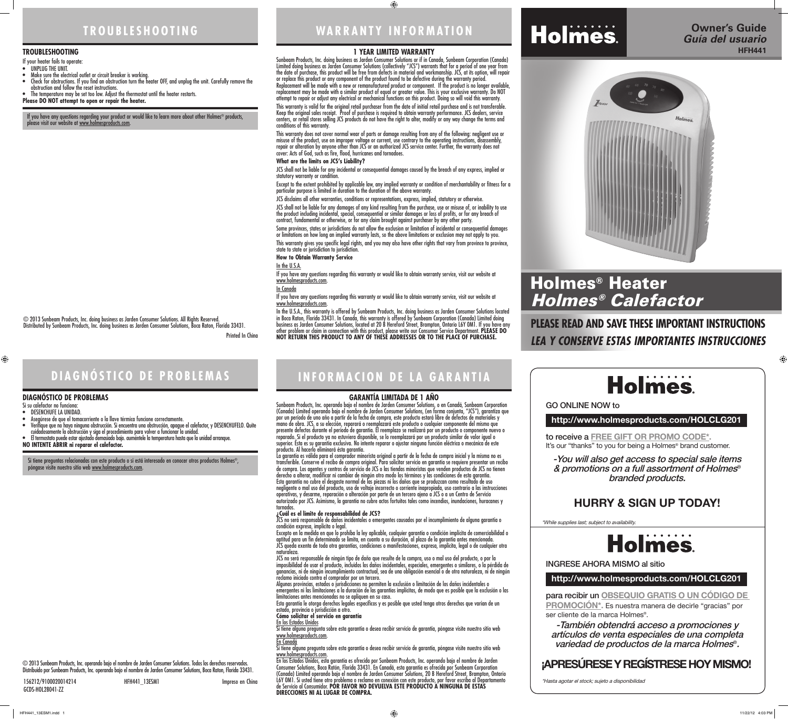**WARRANTY INFORMATION**

### **1 YEAR LIMITED WARRANTY**

Sunbeam Products, Inc. doing business as Jarden Consumer Solutions or if in Canada, Sunbeam Corporation (Canada) Limited doing business as Jarden Consumer Solutions (collectively "JCS") warrants that for a period of one year from the date of purchase, this product will be free from defects in material and workmanship. JCS, at its option, will repair or replace this product or any component of the product found to be defective during the warranty period. Replacement will be made with a new or remanufactured product or component. If the product is no longer available, replacement may be made with a similar product of equal or greater value. This is your exclusive warranty. Do NOT attempt to repair or adjust any electrical or mechanical functions on this product. Doing so will void this warranty.

This warranty is valid for the original retail purchaser from the date of initial retail purchase and is not transferable. Keep the original sales receipt. Proof of purchase is required to obtain warranty performance. JCS dealers, service centers, or retail stores selling JCS products do not have the right to alter, modify or any way change the terms and conditions of this warranty.

JCS shall not be liable for any damages of any kind resulting from the purchase, use or misuse of, or inability to use the product including incidental, special, consequential or similar damages or loss of profits, or for any breach of contract, fundamental or otherwise, or for any claim brought against purchaser by any other party.

This warranty does not cover normal wear of parts or damage resulting from any of the following: negligent use or misuse of the product, use on improper voltage or current, use contrary to the operating instructions, disassembly, repair or alteration by anyone other than JCS or an authorized JCS service center. Further, the warranty does not cover: Acts of God, such as fire, flood, hurricanes and tornadoes.

If you have any questions regarding this warranty or would like to obtain warranty service, visit our website at www.holmesproducts.com

If you have any questions regarding this warranty or would like to obtain warranty service, visit our website at www.holmesproducts.com

#### **What are the limits on JCS's Liability?**

JCS shall not be liable for any incidental or consequential damages caused by the breach of any express, implied or statutory warranty or condition.

Except to the extent prohibited by applicable law, any implied warranty or condition of merchantability or fitness for a particular purpose is limited in duration to the duration of the above warranty.

JCS disclaims all other warranties, conditions or representations, express, implied, statutory or otherwise.

Some provinces, states or jurisdictions do not allow the exclusion or limitation of incidental or consequential damages or limitations on how long an implied warranty lasts, so the above limitations or exclusion may not apply to you.

This warranty gives you specific legal rights, and you may also have other rights that vary from province to province, state to state or jurisdiction to jurisdiction.

**How to Obtain Warranty Service**

In the U.S.A.

In Canada

In the U.S.A., this warranty is offered by Sunbeam Products, Inc. doing business as Jarden Consumer Solutions located in Boca Raton, Florida 33431. In Canada, this warranty is offered by Sunbeam Corporation (Canada) Limited doing business as Jarden Consumer Solutions, located at 20 B Hereford Street, Brampton, Ontario L6Y 0M1. If you have any other problem or claim in connection with this product, please write our Consumer Service Department. **PLEASE DO NOT RETURN THIS PRODUCT TO ANY OF THESE ADDRESSES OR TO THE PLACE OF PURCHASE.** 

## **TROUBLESHOOTING**

© 2013 Sunbeam Products, Inc. doing business as Jarden Consumer Solutions. All Rights Reserved.

Distributed by Sunbeam Products, Inc. doing business as Jarden Consumer Solutions, Boca Raton, Florida 33431.

Printed In China

## **INFORMACION DE LA GARANTIA**

#### **GARANTÍA LIMITADA DE 1 AÑO**

Sunbeam Products, Inc. operando bajo el nombre de Jarden Consumer Solutions, o en Canadá, Sunbeam Corporation (Canada) Limited operando bajo el nombre de Jarden Consumer Solutions, (en forma conjunta, "JCS"), garantiza que por un período de uno año a partir de la fecha de compra, este producto estará libre de defectos de materiales y mano de obra. JCS, a su elección, reparará o reemplazará este producto o cualquier componente del mismo que presente defectos durante el período de garantía. El reemplazo se realizará por un producto o componente nuevo o reparado. Si el producto ya no estuviera disponible, se lo reemplazará por un producto similar de valor igual o superior. Ésta es su garantía exclusiva. No intente reparar o ajustar ninguna función eléctrica o mecánica de este producto. Al hacerlo elimínará ésta garantía.

to receive a **FREE GIFT OR PROMO CODE\*.** It's our "thanks" to you for being a Holmes<sup>®</sup> brand customer.

para recibir un **OBSEQUIO GRATIS O UN CÓDIGO DE PROMOCIÓN\*.** Es nuestra manera de decirle "gracias" por ser cliente de la marca Holmes<sup>®</sup>.

La garantía es válida para el comprador minorista original a partir de la fecha de compra inicial y la misma no es transferible. Conserve el recibo de compra original. Para solicitar servicio en garantía se requiere presentar un recibo de compra. Los agentes y centros de servicio de JCS o las tiendas minoristas que venden productos de JCS no tienen derecho a alterar, modificar ni cambiar de ningún otro modo los términos y las condiciones de esta garantía.

Esta garantía no cubre el desgaste normal de las piezas ni los daños que se produzcan como resultado de uso negligente o mal uso del producto, uso de voltaje incorrecto o corriente inapropiada, uso contrario a las instrucciones operativas, y desarme, reparación o alteración por parte de un tercero ajeno a JCS o a un Centro de Servicio autorizado por JCS. Asimismo, la garantía no cubre actos fortuitos tales como incendios, inundaciones, huracanes y tornados.

#### **¿Cuál es el límite de responsabilidad de JCS?**

JCS no será responsable de daños incidentales o emergentes causados por el incumplimiento de alguna garantía o condición expresa, implícita o legal.

Excepto en la medida en que lo prohíba la ley aplicable, cualquier garantía o condición implícita de comerciabilidad o aptitud para un fin determinado se limita, en cuanto a su duración, al plazo de la garantía antes mencionada. JCS queda exenta de toda otra garantías, condiciones o manifestaciones, expresa, implícita, legal o de cualquier otra naturaleza.

JCS no será responsable de ningún tipo de daño que resulte de la compra, uso o mal uso del producto, o por la imposibilidad de usar el producto, incluidos los daños incidentales, especiales, emergentes o similares, o la pérdida de ganancias, ni de ningún incumplimiento contractual, sea de una obligación esencial o de otra naturaleza, ni de ningún reclamo iniciado contra el comprador por un tercero.

Algunas provincias, estados o jurisdicciones no permiten la exclusión o limitación de los daños incidentales o emergentes ni las limitaciones a la duración de las garantías implícitas, de modo que es posible que la exclusión o las limitaciones antes mencionadas no se apliquen en su caso.

Esta garantía le otorga derechos legales específicos y es posible que usted tenga otros derechos que varían de un estado, provincia o jurisdicción a otro.

**Cómo solicitar el servicio en garantía**

En los Estados Unidos

Si tiene alguna pregunta sobre esta garantía o desea recibir servicio de garantía, póngase visite nuestro sitio web www.holmesproducts.com. En Canadá

Si tiene alguna pregunta sobre esta garantía o desea recibir servicio de garantía, póngase visite nuestro sitio web www.holmesproducts.com.

En los Estados Unidos, esta garantía es ofrecida por Sunbeam Products, Inc. operando bajo el nombre de Jarden Consumer Solutions, Boca Ratón, Florida 33431. En Canadá, esta garantía es ofrecida por Sunbeam Corporation (Canada) Limited operando bajo el nombre de Jarden Consumer Solutions, 20 B Hereford Street, Brampton, Ontario L6Y 0M1. Si usted tiene otro problema o reclamo en conexión con este producto, por favor escriba al Departamento de Servicio al Consumidor. **POR FAVOR NO DEVUELVA ESTE PRODUCTO A NINGUNA DE ESTAS DIRECCIONES NI AL LUGAR DE COMPRA.**

## **DIAGNÓSTICO DE PROBLEMAS**

© 2013 Sunbeam Products, Inc. operando bajo el nombre de Jarden Consumer Solutions. Todos los derechos reservados. Distribuido por Sunbeam Products, Inc. operando bajo el nombre de Jarden Consumer Solutions, Boca Raton, Florida 33431.

156212/9100020014214 HFH441\_13ESM1 Impreso en China GCDS-HOL28041-ZZ

Si tiene preguntas relacionadas con este producto o si está interesado en conocer otros productos Holmes®, póngase visite nuestro sitio web www.holmesproducts.com.

#### **TROUBLESHOOTING**

- If your heater fails to operate:
- UNPLUG THE UNIT.
- Make sure the electrical outlet or circuit breaker is working. • Check for obstructions. If you find an obstruction turn the heater OFF, and unplug the unit. Carefully remove the
- obstruction and follow the reset instructions. The temperature may be set too low. Adjust the thermostat until the heater restarts.
- **Please DO NOT attempt to open or repair the heater.**

If you have any questions regarding your product or would like to learn more about other Holmes® products, please visit our website at <u>www.holmesproducts.com</u>.

#### **DIAGNÓSTICO DE PROBLEMAS**

#### Si su calefactor no funciona:

- DESENCHUFE LA UNIDAD.
- Asegúrese de que el tomacorriente o la llave térmica funcione correctamente.
- Verifique que no haya ninguna obstrucción. Si encuentra una obstrucción, apague el calefactor, y DESENCHUFELO. Quite cuidadosamente la obstrucción y siga el procedimiento para volver a funcionar la unidad.

• El termostato puede estar ajustado demasiado bajo. auméntele la temperatura hasta que la unidad arranque.

**NO INTENTE ABRIR ni reparar el calefactor.** 

## **PLEASE READ AND SAVE THESE IMPORTANT INSTRUCTIONS** *LEA Y CONSERVE ESTAS IMPORTANTES INSTRUCCIONES*





## **http://www.holmesproducts.com/HOLCLG201**

**http://www.holmesproducts.com/HOLCLG201**

GO ONLINE NOW to

INGRESE AHORA MISMO al sitio

-You will also get access to special sale items & promotions on a full assortment of Holmes® branded products.

# **Holmes**

-También obtendrá acceso a promociones y artículos de venta especiales de una completa variedad de productos de la marca Holmes®.

\*While supplies last; subject to availability.







\*Hasta agotar el stock; sujeto a disponibilidad

 $\bigoplus$ 

## **HURRY & SIGN UP TODAY!**

## **¡APRESÚRESE Y REGÍSTRESE HOY MISMO!**

# Holmes® Heater Holmes® Calefactor

HFH441\_13ESM1.indd 1 11/22/12 4:03 PM